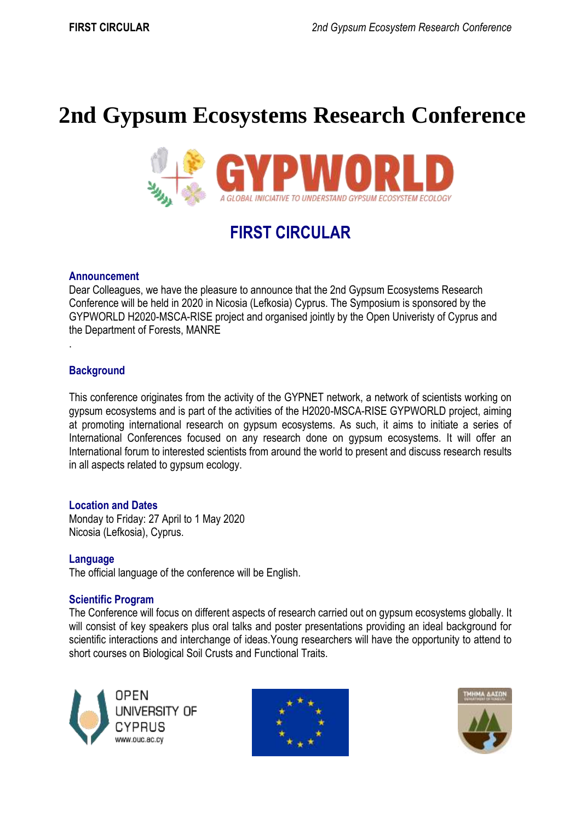# **2nd Gypsum Ecosystems Research Conference**



## **FIRST CIRCULAR**

#### **Announcement**

Dear Colleagues, we have the pleasure to announce that the 2nd Gypsum Ecosystems Research Conference will be held in 2020 in Nicosia (Lefkosia) Cyprus. The Symposium is sponsored by the GYPWORLD H2020-MSCA-RISE project and organised jointly by the Open Univeristy of Cyprus and the Department of Forests, MANRE

#### **Background**

.

This conference originates from the activity of the GYPNET network, a network of scientists working on gypsum ecosystems and is part of the activities of the H2020-MSCA-RISE GYPWORLD project, aiming at promoting international research on gypsum ecosystems. As such, it aims to initiate a series of International Conferences focused on any research done on gypsum ecosystems. It will offer an International forum to interested scientists from around the world to present and discuss research results in all aspects related to gypsum ecology.

#### **Location and Dates**

Monday to Friday: 27 April to 1 May 2020 Nicosia (Lefkosia), Cyprus.

#### **Language**

The official language of the conference will be English.

#### **Scientific Program**

The Conference will focus on different aspects of research carried out on gypsum ecosystems globally. It will consist of key speakers plus oral talks and poster presentations providing an ideal background for scientific interactions and interchange of ideas.Young researchers will have the opportunity to attend to short courses on Biological Soil Crusts and Functional Traits.